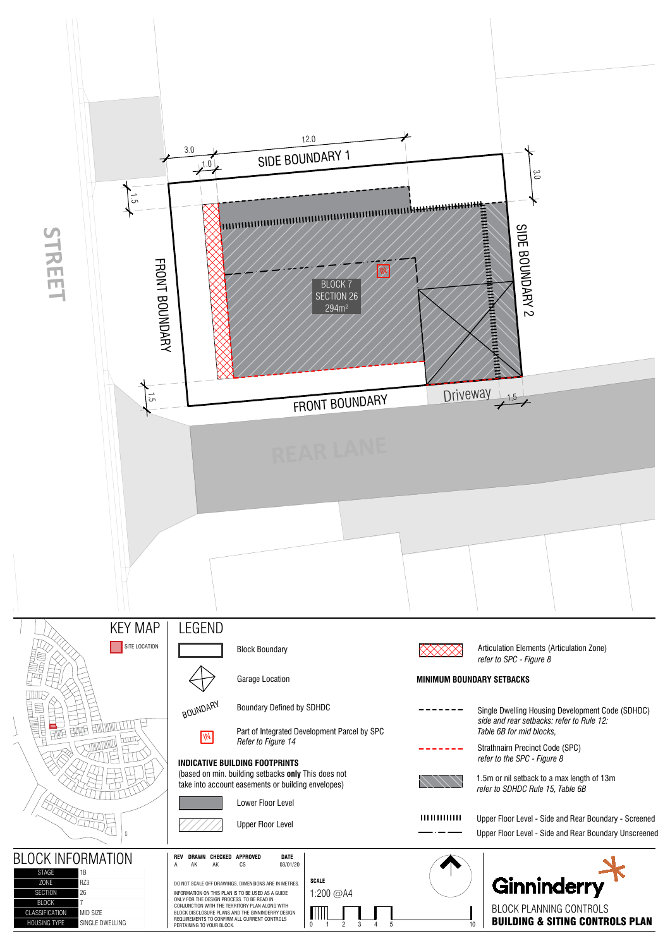